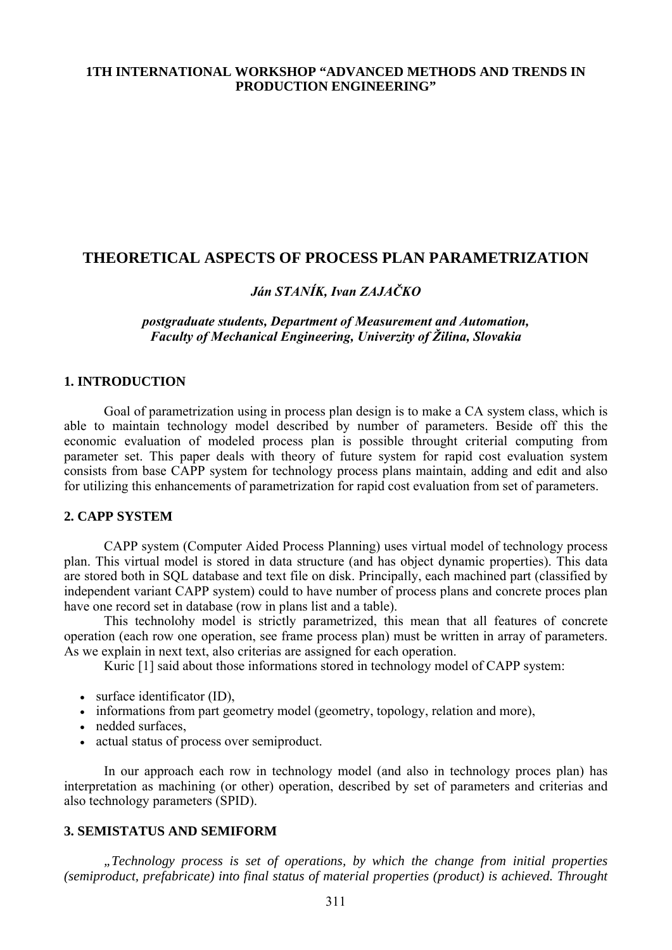## **1TH INTERNATIONAL WORKSHOP "ADVANCED METHODS AND TRENDS IN PRODUCTION ENGINEERING"**

## **THEORETICAL ASPECTS OF PROCESS PLAN PARAMETRIZATION**

# *Ján STANÍK, Ivan ZAJAČKO*

## *postgraduate students, Department of Measurement and Automation, Faculty of Mechanical Engineering, Univerzity of Žilina, Slovakia*

### **1. INTRODUCTION**

 Goal of parametrization using in process plan design is to make a CA system class, which is able to maintain technology model described by number of parameters. Beside off this the economic evaluation of modeled process plan is possible throught criterial computing from parameter set. This paper deals with theory of future system for rapid cost evaluation system consists from base CAPP system for technology process plans maintain, adding and edit and also for utilizing this enhancements of parametrization for rapid cost evaluation from set of parameters.

#### **2. CAPP SYSTEM**

 CAPP system (Computer Aided Process Planning) uses virtual model of technology process plan. This virtual model is stored in data structure (and has object dynamic properties). This data are stored both in SQL database and text file on disk. Principally, each machined part (classified by independent variant CAPP system) could to have number of process plans and concrete proces plan have one record set in database (row in plans list and a table).

 This technolohy model is strictly parametrized, this mean that all features of concrete operation (each row one operation, see frame process plan) must be written in array of parameters. As we explain in next text, also criterias are assigned for each operation.

Kuric [1] said about those informations stored in technology model of CAPP system:

- surface identificator (ID),
- informations from part geometry model (geometry, topology, relation and more),
- nedded surfaces.
- actual status of process over semiproduct.

 In our approach each row in technology model (and also in technology proces plan) has interpretation as machining (or other) operation, described by set of parameters and criterias and also technology parameters (SPID).

### **3. SEMISTATUS AND SEMIFORM**

*"Technology process is set of operations, by which the change from initial properties (semiproduct, prefabricate) into final status of material properties (product) is achieved. Throught*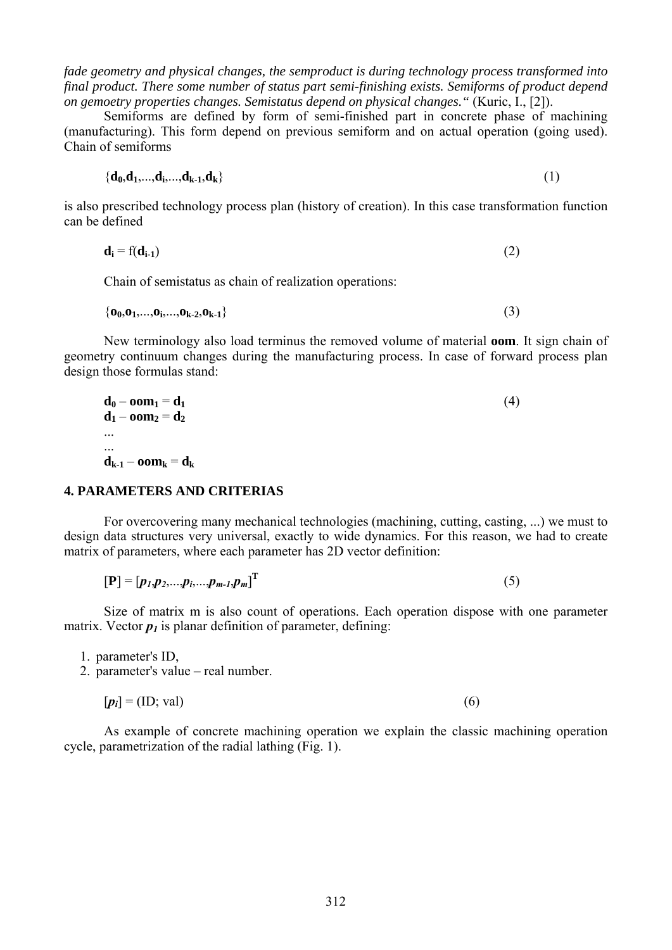*fade geometry and physical changes, the semproduct is during technology process transformed into final product. There some number of status part semi-finishing exists. Semiforms of product depend on gemoetry properties changes. Semistatus depend on physical changes."* (Kuric, I., [2]).

 Semiforms are defined by form of semi-finished part in concrete phase of machining (manufacturing). This form depend on previous semiform and on actual operation (going used). Chain of semiforms

$$
\left\{ \mathbf{d}_0, \mathbf{d}_1, \ldots, \mathbf{d}_k, \ldots, \mathbf{d}_{k+1}, \mathbf{d}_k \right\} \tag{1}
$$

is also prescribed technology process plan (history of creation). In this case transformation function can be defined

$$
\mathbf{d_i} = f(\mathbf{d_{i-1}}) \tag{2}
$$

Chain of semistatus as chain of realization operations:

$$
\{o_0, o_1, \ldots, o_i, \ldots, o_{k-2}, o_{k-1}\}\tag{3}
$$

 New terminology also load terminus the removed volume of material **oom**. It sign chain of geometry continuum changes during the manufacturing process. In case of forward process plan design those formulas stand:

$$
\mathbf{d}_0 - \mathbf{oom}_1 = \mathbf{d}_1
$$
  
\n
$$
\mathbf{d}_1 - \mathbf{oom}_2 = \mathbf{d}_2
$$
  
\n...  
\n
$$
\mathbf{d}_{k-1} - \mathbf{oom}_k = \mathbf{d}_k
$$
\n(4)

#### **4. PARAMETERS AND CRITERIAS**

 For overcovering many mechanical technologies (machining, cutting, casting, ...) we must to design data structures very universal, exactly to wide dynamics. For this reason, we had to create matrix of parameters, where each parameter has 2D vector definition:

$$
[\mathbf{P}] = [p_1, p_2, \dots, p_i, \dots, p_{m-1}, p_m]^{\mathrm{T}}
$$
\n(5)

 Size of matrix m is also count of operations. Each operation dispose with one parameter matrix. Vector  $p_l$  is planar definition of parameter, defining:

1. parameter's ID,

2. parameter's value – real number.

$$
[p_i] = (ID; val) \tag{6}
$$

 As example of concrete machining operation we explain the classic machining operation cycle, parametrization of the radial lathing (Fig. 1).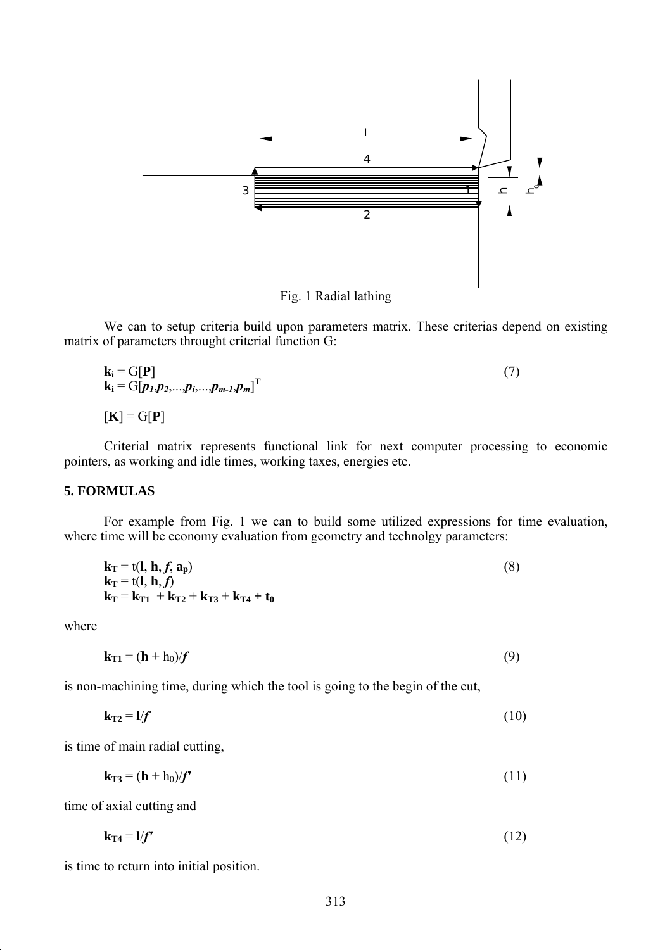

Fig. 1 Radial lathing

 We can to setup criteria build upon parameters matrix. These criterias depend on existing matrix of parameters throught criterial function G:

$$
\mathbf{k_i} = \mathbf{G}[\mathbf{P}] \tag{7}
$$
\n
$$
\mathbf{k_i} = \mathbf{G}[p_1, p_2, \dots, p_i, \dots, p_{m-1}, p_m]^{\mathrm{T}}
$$
\n
$$
[\mathbf{K}] = \mathbf{G}[\mathbf{P}]
$$

 Criterial matrix represents functional link for next computer processing to economic pointers, as working and idle times, working taxes, energies etc.

## **5. FORMULAS**

 For example from Fig. 1 we can to build some utilized expressions for time evaluation, where time will be economy evaluation from geometry and technolgy parameters:

$$
\mathbf{k}_{\mathbf{T}} = \mathbf{t}(\mathbf{l}, \mathbf{h}, f, \mathbf{a}_{\mathbf{p}}) \n\mathbf{k}_{\mathbf{T}} = \mathbf{t}(\mathbf{l}, \mathbf{h}, f) \n\mathbf{k}_{\mathbf{T}} = \mathbf{k}_{\mathbf{T1}} + \mathbf{k}_{\mathbf{T2}} + \mathbf{k}_{\mathbf{T3}} + \mathbf{k}_{\mathbf{T4}} + \mathbf{t}_{0}
$$
\n(8)

where

 $k_{T1} = (h + h_0)/f$  (9)

is non-machining time, during which the tool is going to the begin of the cut,

$$
\mathbf{k}_{\mathrm{T2}} = \mathbf{l} / f \tag{10}
$$

is time of main radial cutting,

 $k_{T3} = (h + h_0)/f'$  (11)

time of axial cutting and

$$
\mathbf{k}_{\mathrm{T4}} = \mathbf{l} / \mathbf{f'} \tag{12}
$$

is time to return into initial position.